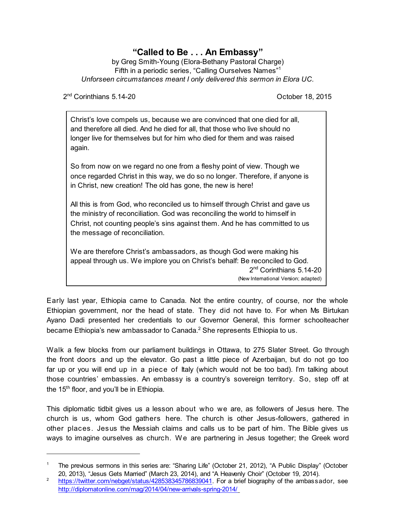## **"Called to Be . . . An Embassy"**

by Greg Smith-Young (Elora-Bethany Pastoral Charge) Fifth in a periodic series, "Calling Ourselves Names"<sup>1</sup> *Unforseen circumstances meant I only delivered this sermon in Elora UC.*

2<sup>nd</sup> Corinthians 5.14-20 **Decision Coronal Accord Coronal Coronal Coronal Coronal Coronal Coronal Coronal Coronal Coronal Coronal Coronal Coronal Coronal Coronal Coronal Coronal Coronal Coronal Coronal Coronal Coronal Cor** 

Christ's love compels us, because we are convinced that one died for all, and therefore all died. And he died for all, that those who live should no longer live for themselves but for him who died for them and was raised again.

So from now on we regard no one from a fleshy point of view. Though we once regarded Christ in this way, we do so no longer. Therefore, if anyone is in Christ, new creation! The old has gone, the new is here!

All this is from God, who reconciled us to himself through Christ and gave us the ministry of reconciliation. God was reconciling the world to himself in Christ, not counting people's sins against them. And he has committed to us the message of reconciliation.

We are therefore Christ's ambassadors, as though God were making his appeal through us. We implore you on Christ's behalf: Be reconciled to God. 2<sup>nd</sup> Corinthians 5.14-20 (New International Version; adapted)

Early last year, Ethiopia came to Canada. Not the entire country, of course, nor the whole Ethiopian government, nor the head of state. They did not have to. For when Ms Birtukan Ayano Dadi presented her credentials to our Governor General, this former schoolteacher became Ethiopia's new ambassador to Canada.<sup>2</sup> She represents Ethiopia to us.

Walk a few blocks from our parliament buildings in Ottawa, to 275 Slater Street. Go through the front doors and up the elevator. Go past a little piece of Azerbaijan, but do not go too far up or you will end up in a piece of Italy (which would not be too bad). I'm talking about those countries' embassies. An embassy is a country's sovereign territory. So, step off at the 15<sup>th</sup> floor, and you'll be in Ethiopia.

This diplomatic tidbit gives us a lesson about who we are, as followers of Jesus here. The church is us, whom God gathers here. The church is other Jesus-followers, gathered in other places. Jesus the Messiah claims and calls us to be part of him. The Bible gives us ways to imagine ourselves as church. We are partnering in Jesus together; the Greek word

<sup>1</sup> The previous sermons in this series are: "Sharing Life" (October 21, 2012), "A Public Display" (October 20, 2013), "Jesus Gets Married" (March 23, 2014), and "A Heavenly Choir" (October 19, 2014).

<sup>&</sup>lt;sup>2</sup> <https://twitter.com/nebget/status/428538345786839041>. For a brief biography of the ambassador, see <http://diplomatonline.com/mag/2014/04/new-arrivals-spring-2014/>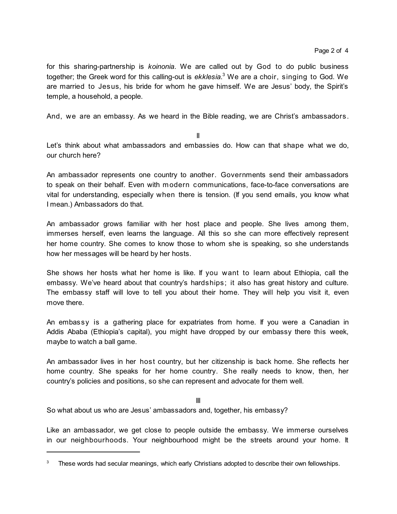for this sharing-partnership is *koinonia*. We are called out by God to do public business together; the Greek word for this calling-out is *ekklesia*. <sup>3</sup> We are a choir, singing to God. We are married to Jesus, his bride for whom he gave himself. We are Jesus' body, the Spirit's temple, a household, a people.

And, we are an embassy. As we heard in the Bible reading, we are Christ's ambassadors.

II

Let's think about what ambassadors and embassies do. How can that shape what we do, our church here?

An ambassador represents one country to another. Governments send their ambassadors to speak on their behalf. Even with modern communications, face-to-face conversations are vital for understanding, especially when there is tension. (If you send emails, you know what I mean.) Ambassadors do that.

An ambassador grows familiar with her host place and people. She lives among them, immerses herself, even learns the language. All this so she can more effectively represent her home country. She comes to know those to whom she is speaking, so she understands how her messages will be heard by her hosts.

She shows her hosts what her home is like. If you want to learn about Ethiopia, call the embassy. We've heard about that country's hardships; it also has great history and culture. The embassy staff will love to tell you about their home. They will help you visit it, even move there.

An embassy is a gathering place for expatriates from home. If you were a Canadian in Addis Ababa (Ethiopia's capital), you might have dropped by our embassy there this week, maybe to watch a ball game.

An ambassador lives in her host country, but her citizenship is back home. She reflects her home country. She speaks for her home country. She really needs to know, then, her country's policies and positions, so she can represent and advocate for them well.

III

So what about us who are Jesus' ambassadors and, together, his embassy?

Like an ambassador, we get close to people outside the embassy. We immerse ourselves in our neighbourhoods. Your neighbourhood might be the streets around your home. It

 $3$  These words had secular meanings, which early Christians adopted to describe their own fellowships.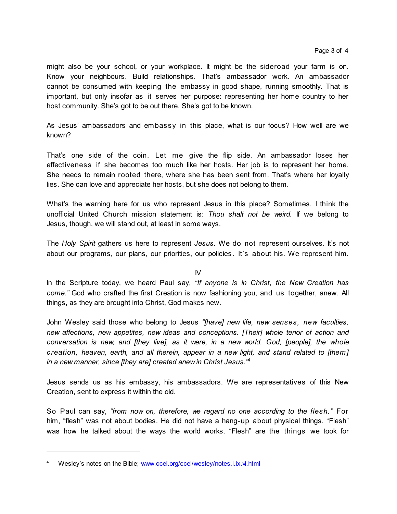might also be your school, or your workplace. It might be the sideroad your farm is on. Know your neighbours. Build relationships. That's ambassador work. An ambassador cannot be consumed with keeping the embassy in good shape, running smoothly. That is important, but only insofar as it serves her purpose: representing her home country to her host community. She's got to be out there. She's got to be known.

As Jesus' ambassadors and embassy in this place, what is our focus? How well are we known?

That's one side of the coin. Let me give the flip side. An ambassador loses her effectiveness if she becomes too much like her hosts. Her job is to represent her home. She needs to remain rooted there, where she has been sent from. That's where her loyalty lies. She can love and appreciate her hosts, but she does not belong to them.

What's the warning here for us who represent Jesus in this place? Sometimes, I think the unofficial United Church mission statement is: *Thou shalt not be weird.* If we belong to Jesus, though, we will stand out, at least in some ways.

The *Holy Spirit* gathers us here to represent *Jesus*. We do not represent ourselves. It's not about our programs, our plans, our priorities, our policies. It's about his. We represent him.

## IV

In the Scripture today, we heard Paul say, *"If anyone is in Christ*, *the New Creation has come."* God who crafted the first Creation is now fashioning you, and us together, anew. All things, as they are brought into Christ, God makes new.

John Wesley said those who belong to Jesus *"[have] new life, new senses, new faculties, new affections, new appetites, new ideas and conceptions. [Their] whole tenor of action and conversation is new, and [they live], as it were, in a new world. God, [people], the whole creation, heaven, earth, and all therein, appear in a new light, and stand related to [them] in a new manner, since [they are] created anew in Christ Jesus." 4*

Jesus sends us as his embassy, his ambassadors. We are representatives of this New Creation, sent to express it within the old.

So Paul can say, *"from now on, therefore, we regard no one according to the flesh."* For him, "flesh" was not about bodies. He did not have a hang-up about physical things. "Flesh" was how he talked about the ways the world works. "Flesh" are the things we took for

Wesley's notes on the Bible; [www.ccel.org/ccel/wesley/notes.i.ix.vi.html](http://www.ccel.org/ccel/wesley/notes.i.ix.vi.html])